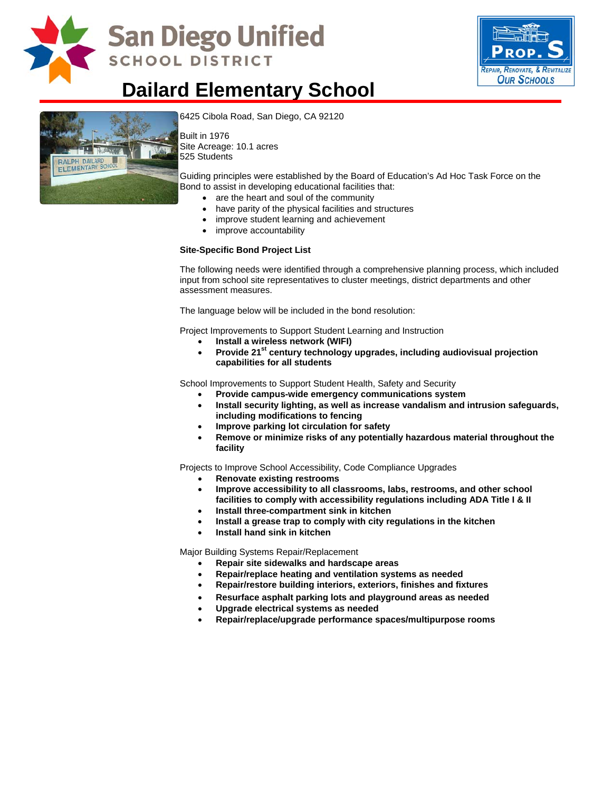

## San Diego Unified **SCHOOL DISTRICT**



### **Dailard Elementary School**



[6425 Cibola Road, San Diego, CA 9](http://www.sandi.net/comm/schools/schlpix/dailard.jpg)2120

Built in 1976 Site Acreage: 10.1 acres 525 Students

Guiding principles were established by the Board of Education's Ad Hoc Task Force on the Bond to assist in developing educational facilities that:

- are the heart and soul of the community
- have parity of the physical facilities and structures
- improve student learning and achievement
- improve accountability

#### **Site-Specific Bond Project List**

The following needs were identified through a comprehensive planning process, which included input from school site representatives to cluster meetings, district departments and other assessment measures.

The language below will be included in the bond resolution:

Project Improvements to Support Student Learning and Instruction

- **Install a wireless network (WIFI)**
- Provide 21<sup>st</sup> century technology upgrades, including audiovisual projection **capabilities for all students**

School Improvements to Support Student Health, Safety and Security

- **Provide campus-wide emergency communications system**
- **Install security lighting, as well as increase vandalism and intrusion safeguards, including modifications to fencing**
- **Improve parking lot circulation for safety**
- **Remove or minimize risks of any potentially hazardous material throughout the facility**

Projects to Improve School Accessibility, Code Compliance Upgrades

- **Renovate existing restrooms**
- **Improve accessibility to all classrooms, labs, restrooms, and other school facilities to comply with accessibility regulations including ADA Title I & II**
- **Install three-compartment sink in kitchen**
- **Install a grease trap to comply with city regulations in the kitchen**
- **Install hand sink in kitchen**

Major Building Systems Repair/Replacement

- **Repair site sidewalks and hardscape areas**
- **Repair/replace heating and ventilation systems as needed**
- **Repair/restore building interiors, exteriors, finishes and fixtures**
- **Resurface asphalt parking lots and playground areas as needed**
- **Upgrade electrical systems as needed**
- **Repair/replace/upgrade performance spaces/multipurpose rooms**